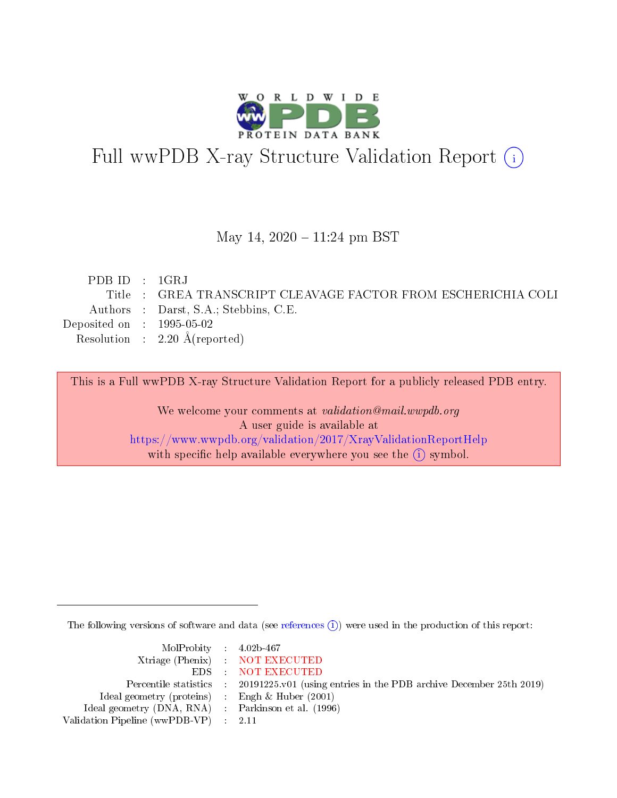

# Full wwPDB X-ray Structure Validation Report (i)

#### May 14,  $2020 - 11:24$  pm BST

| PDB ID : $1\text{GRJ}$      |                                                               |
|-----------------------------|---------------------------------------------------------------|
|                             | Title : GREA TRANSCRIPT CLEAVAGE FACTOR FROM ESCHERICHIA COLI |
|                             | Authors : Darst, S.A.; Stebbins, C.E.                         |
| Deposited on : $1995-05-02$ |                                                               |
|                             | Resolution : $2.20 \text{ Å}$ (reported)                      |
|                             |                                                               |

This is a Full wwPDB X-ray Structure Validation Report for a publicly released PDB entry.

We welcome your comments at validation@mail.wwpdb.org A user guide is available at <https://www.wwpdb.org/validation/2017/XrayValidationReportHelp> with specific help available everywhere you see the  $(i)$  symbol.

The following versions of software and data (see [references](https://www.wwpdb.org/validation/2017/XrayValidationReportHelp#references)  $\overline{(1)}$ ) were used in the production of this report:

| $MolProbability$ 4.02b-467                          |                                                                    |
|-----------------------------------------------------|--------------------------------------------------------------------|
|                                                     | Xtriage (Phenix) NOT EXECUTED                                      |
|                                                     | EDS : NOT EXECUTED                                                 |
| Percentile statistics :                             | 20191225.v01 (using entries in the PDB archive December 25th 2019) |
| Ideal geometry (proteins) :                         | Engh $\&$ Huber (2001)                                             |
| Ideal geometry (DNA, RNA) : Parkinson et al. (1996) |                                                                    |
| Validation Pipeline (wwPDB-VP) : 2.11               |                                                                    |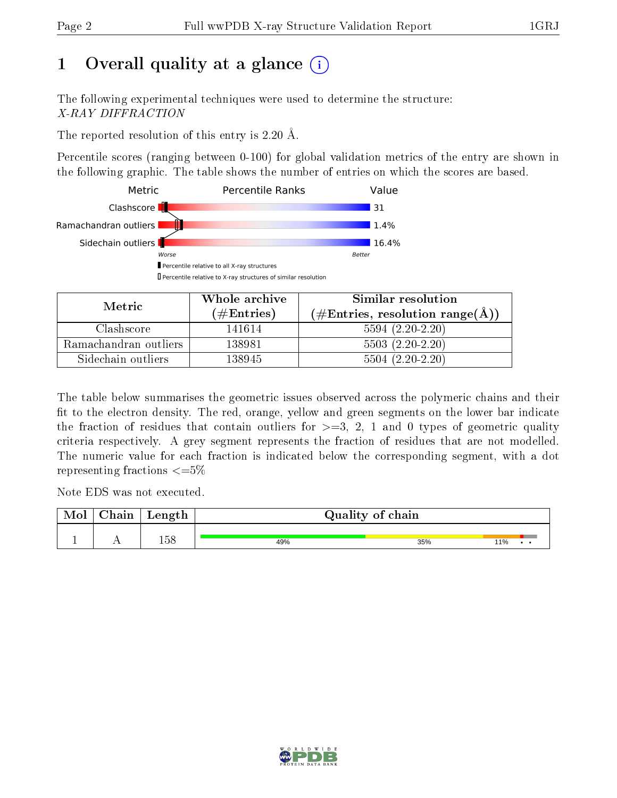# 1 [O](https://www.wwpdb.org/validation/2017/XrayValidationReportHelp#overall_quality)verall quality at a glance  $(i)$

The following experimental techniques were used to determine the structure: X-RAY DIFFRACTION

The reported resolution of this entry is 2.20 Å.

Percentile scores (ranging between 0-100) for global validation metrics of the entry are shown in the following graphic. The table shows the number of entries on which the scores are based.



| Metric                | Whole archive        | Similar resolution<br>$(\#\text{Entries}, \text{resolution range}(\textup{\AA})\)$ |  |  |
|-----------------------|----------------------|------------------------------------------------------------------------------------|--|--|
|                       | $(\#\text{Entries})$ |                                                                                    |  |  |
| Clashscore            | 141614               | $5594(2.20-2.20)$                                                                  |  |  |
| Ramachandran outliers | 138981               | $5503(2.20-2.20)$                                                                  |  |  |
| Sidechain outliers    | 138945               | $5504(2.20-2.20)$                                                                  |  |  |

The table below summarises the geometric issues observed across the polymeric chains and their fit to the electron density. The red, orange, yellow and green segments on the lower bar indicate the fraction of residues that contain outliers for  $\geq=3$ , 2, 1 and 0 types of geometric quality criteria respectively. A grey segment represents the fraction of residues that are not modelled. The numeric value for each fraction is indicated below the corresponding segment, with a dot representing fractions  $\epsilon = 5\%$ 

Note EDS was not executed.

| <b>NIOI</b> | hain! | Length |     | Quality of chain |     |
|-------------|-------|--------|-----|------------------|-----|
|             | . .   | 158    | 49% | 35%              | 11% |

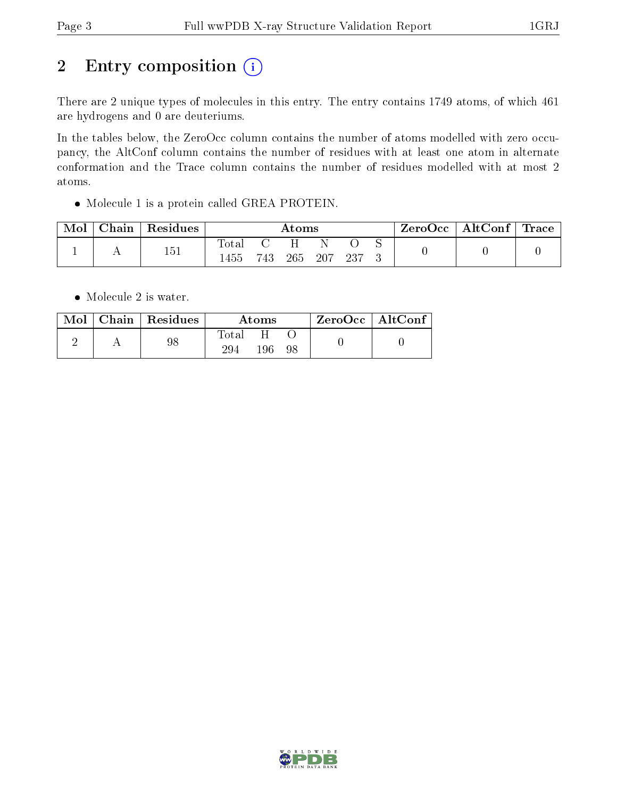# 2 Entry composition (i)

There are 2 unique types of molecules in this entry. The entry contains 1749 atoms, of which 461 are hydrogens and 0 are deuteriums.

In the tables below, the ZeroOcc column contains the number of atoms modelled with zero occupancy, the AltConf column contains the number of residues with at least one atom in alternate conformation and the Trace column contains the number of residues modelled with at most 2 atoms.

Molecule 1 is a protein called GREA PROTEIN.

| Mol | Chain | Residues | Atoms               |      |     |     |     | ZeroOcc | $\mid$ AltConf $\mid$ Trace $\mid$ |  |  |
|-----|-------|----------|---------------------|------|-----|-----|-----|---------|------------------------------------|--|--|
|     |       | 151      | $\rm Total$<br>1455 | 743. | 265 | 207 | 237 |         |                                    |  |  |

• Molecule 2 is water.

| Mol | Chain   Residues | Atoms        |     |    | $ZeroOcc \mid AltConf$ |  |
|-----|------------------|--------------|-----|----|------------------------|--|
|     | 98               | Total<br>294 | 196 | 98 |                        |  |

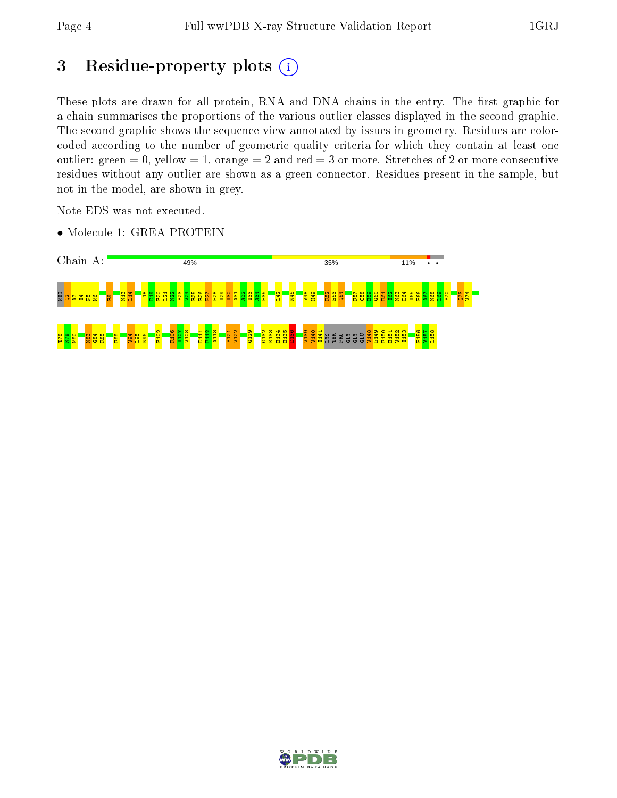# 3 Residue-property plots (i)

These plots are drawn for all protein, RNA and DNA chains in the entry. The first graphic for a chain summarises the proportions of the various outlier classes displayed in the second graphic. The second graphic shows the sequence view annotated by issues in geometry. Residues are colorcoded according to the number of geometric quality criteria for which they contain at least one outlier: green  $= 0$ , yellow  $= 1$ , orange  $= 2$  and red  $= 3$  or more. Stretches of 2 or more consecutive residues without any outlier are shown as a green connector. Residues present in the sample, but not in the model, are shown in grey.

Note EDS was not executed.

• Molecule 1: GREA PROTEIN



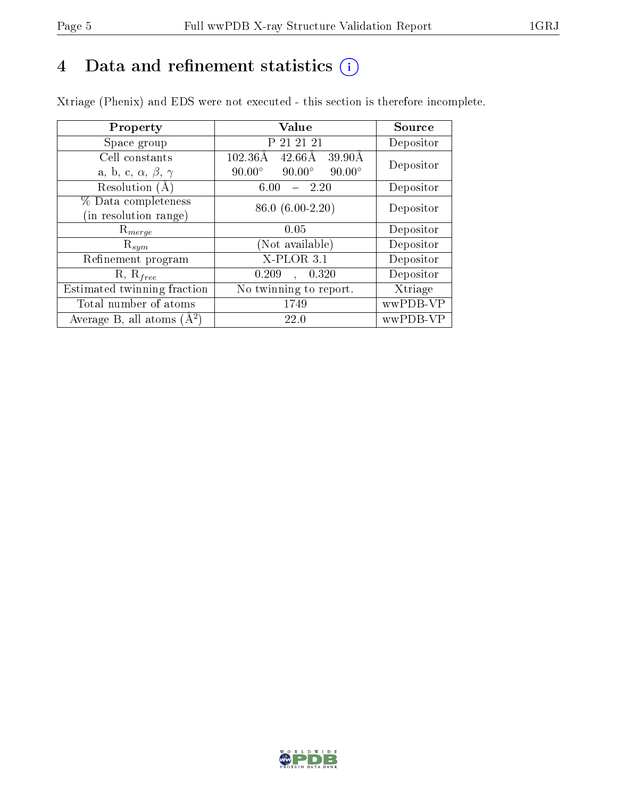# 4 Data and refinement statistics  $(i)$

Xtriage (Phenix) and EDS were not executed - this section is therefore incomplete.

| Property                               | Value                                                        | <b>Source</b> |  |
|----------------------------------------|--------------------------------------------------------------|---------------|--|
| Space group                            | P 21 21 21                                                   | Depositor     |  |
| Cell constants                         | $102.36\text{\AA}$<br>$42.66\text{\AA}$<br>$39.90\text{\AA}$ | Depositor     |  |
| a, b, c, $\alpha$ , $\beta$ , $\gamma$ | $90.00^\circ$<br>$90.00^\circ$<br>$90.00^\circ$              |               |  |
| Resolution (A)                         | - 2.20<br>6.00                                               | Depositor     |  |
| % Data completeness                    | 86.0 (6.00-2.20)                                             | Depositor     |  |
| (in resolution range)                  |                                                              |               |  |
| $R_{merge}$                            | 0.05                                                         | Depositor     |  |
| $\mathrm{R}_{sym}$                     | Not available)                                               | Depositor     |  |
| Refinement program                     | $X-PLOR$ 3.1                                                 | Depositor     |  |
| $R, R_{free}$                          | 0.209<br>, 0.320                                             | Depositor     |  |
| Estimated twinning fraction            | No twinning to report.                                       | Xtriage       |  |
| Total number of atoms                  | 1749                                                         | wwPDB-VP      |  |
| Average B, all atoms $(A^2)$           | 22.0                                                         | wwPDB-VP      |  |

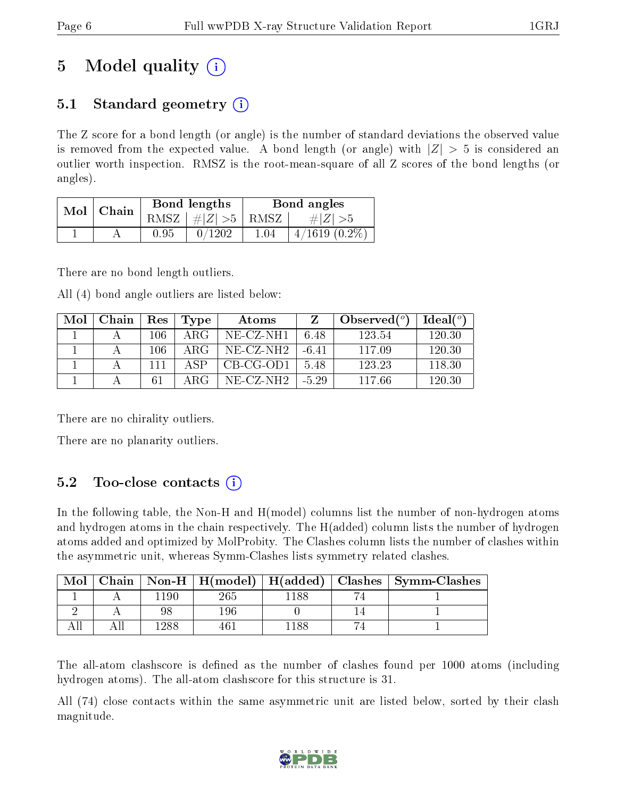# 5 Model quality  $(i)$

## 5.1 Standard geometry  $(i)$

The Z score for a bond length (or angle) is the number of standard deviations the observed value is removed from the expected value. A bond length (or angle) with  $|Z| > 5$  is considered an outlier worth inspection. RMSZ is the root-mean-square of all Z scores of the bond lengths (or angles).

| Mol | Chain |      | Bond lengths                     | Bond angles |                    |  |
|-----|-------|------|----------------------------------|-------------|--------------------|--|
|     |       |      | RMSZ $\mid \#  Z  > 5 \mid$ RMSZ |             | $\# Z  > 5$        |  |
|     |       | 0.95 | 0/1202                           | $1.04\,$    | $4/1619$ $(0.2\%)$ |  |

There are no bond length outliers.

All (4) bond angle outliers are listed below:

| Mol | Chain | Res | Type  | Atoms       |         | Observed $(°)$ | Ideal $(°)$ |
|-----|-------|-----|-------|-------------|---------|----------------|-------------|
|     |       | 106 | A R.G | NE-CZ-NH1   | 6.48    | 123.54         | 120.30      |
|     |       | 106 | ARG   | NE-CZ-NH2   | $-6.41$ | 117.09         | 120.30      |
|     |       |     | A SP  | CB-CG-OD1   | 5.48    | 123.23         | 118.30      |
|     |       | 61  | ARG   | $NE-CZ-NH2$ | $-5.29$ | 117.66         | 120.30      |

There are no chirality outliers.

There are no planarity outliers.

## $5.2$  Too-close contacts  $(i)$

In the following table, the Non-H and H(model) columns list the number of non-hydrogen atoms and hydrogen atoms in the chain respectively. The H(added) column lists the number of hydrogen atoms added and optimized by MolProbity. The Clashes column lists the number of clashes within the asymmetric unit, whereas Symm-Clashes lists symmetry related clashes.

| Mol |      |         |     | Chain   Non-H   H(model)   H(added)   Clashes   Symm-Clashes |
|-----|------|---------|-----|--------------------------------------------------------------|
|     | 1190 | $265\,$ | 188 |                                                              |
|     |      | 196     |     |                                                              |
|     | 288  |         | 188 |                                                              |

The all-atom clashscore is defined as the number of clashes found per 1000 atoms (including hydrogen atoms). The all-atom clashscore for this structure is 31.

All (74) close contacts within the same asymmetric unit are listed below, sorted by their clash magnitude.

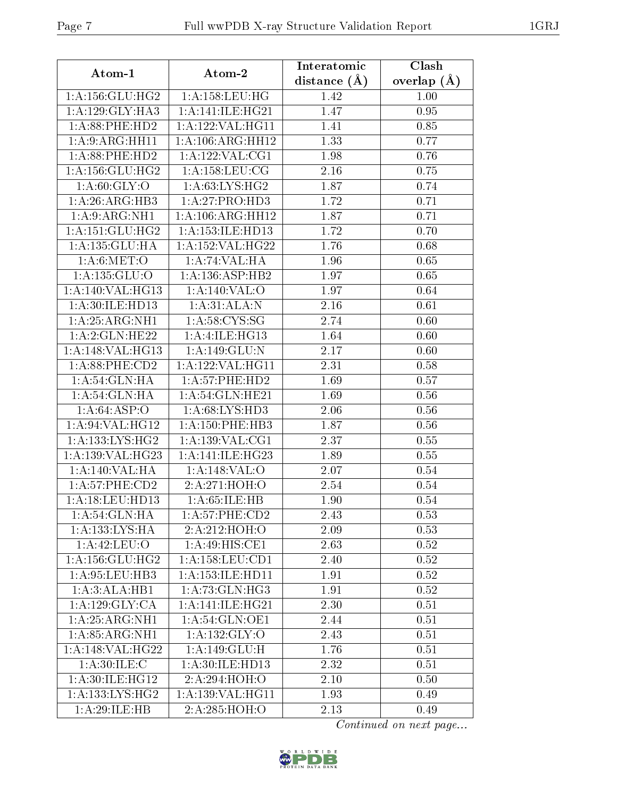| Atom-1              | Atom-2                                          | Interatomic       | Clash             |
|---------------------|-------------------------------------------------|-------------------|-------------------|
|                     |                                                 | distance $(A)$    | overlap $(A)$     |
| 1: A: 156: GLU: HG2 | 1: A: 158: LEU: HG                              | 1.42              | 1.00              |
| 1: A: 129: GLY: HA3 | 1: A:141: ILE: HG21                             | 1.47              | 0.95              |
| 1: A:88: PHE:HD2    | 1:A:122:VAL:HG11                                | 1.41              | 0.85              |
| 1: A:9: ARG: HH11   | 1:A:106:ARG:HH12                                | 1.33              | 0.77              |
| $1: A:88:$ PHE:HD2  | 1: A: 122: VAL: CG1                             | 1.98              | 0.76              |
| 1: A: 156: GLU: HG2 | 1: A: 158: LEU: CG                              | 2.16              | 0.75              |
| 1: A:60: GLY:O      | 1: A:63: LYS: HG2                               | 1.87              | 0.74              |
| 1:A:26:ARG:HB3      | 1:A:27:PRO:HD3                                  | 1.72              | 0.71              |
| 1: A:9: ARG: NH1    | 1: A: 106: ARG: HH12                            | 1.87              | 0.71              |
| 1: A:151: GLU:HG2   | 1: A: 153: ILE: HD13                            | 1.72              | 0.70              |
| 1:A:135:GLU:HA      | 1:A:152:VAL:HG22                                | 1.76              | 0.68              |
| 1: A:6: MET:O       | 1:A:74:VAL:HA                                   | 1.96              | 0.65              |
| 1: A: 135: GLU: O   | 1: A: 136: ASP: HB2                             | 1.97              | 0.65              |
| 1:A:140:VAL:HG13    | 1: A:140: VAL:O                                 | 1.97              | 0.64              |
| 1: A:30: ILE: HD13  | 1:A:31:ALA:N                                    | 2.16              | 0.61              |
| 1: A:25: ARG:NH1    | 1: A:58:CYS:SG                                  | 2.74              | 0.60              |
| 1:A:2:GLN:HE22      | 1: A: 4: ILE: HG13                              | 1.64              | 0.60              |
| 1:A:148:VAL:HG13    | 1:A:149:GLU:N                                   | $\overline{2.17}$ | 0.60              |
| 1:A:88:PHE:CD2      | 1:A:122:VAL:HG11                                | 2.31              | 0.58              |
| 1: A:54: GLN: HA    | 1: A:57:PHE:HD2                                 | 1.69              | 0.57              |
| 1: A:54: GLN: HA    | 1: A:54: GLN: HE21                              | 1.69              | $0.56\,$          |
| 1: A:64:ASP:O       | 1: A:68: LYS: HD3                               | 2.06              | 0.56              |
| 1:A:94:VAL:HG12     | 1: A: 150: PHE: HB3                             | 1.87              | 0.56              |
| 1: A: 133: LYS: HG2 | 1: A: 139: VAL: CG1                             | 2.37              | 0.55              |
| 1:A:139:VAL:HG23    | 1: A:141: ILE: HG23                             | 1.89              | 0.55              |
| 1:A:140:VAL:HA      | 1:A:148:VAL:O                                   | 2.07              | 0.54              |
| $1: A:57:$ PHE:CD2  | 2:A:271:HOH:O                                   | 2.54              | 0.54              |
| 1: A:18: LEU: HD13  | 1: A:65:ILE:HB                                  | 1.90              | 0.54              |
| 1:A:54:GLN:HA       | 1:A:57:PHE:CD2                                  | 2.43              | 0.53              |
| 1:A:133:LYS:HA      | 2:A:212:HOH:O                                   | 2.09              | 0.53              |
| 1:A:42:LEU:O        | 1:A:49:HIS:CE1                                  | 2.63              | 0.52              |
| 1: A: 156: GLU: HG2 | $1:A:158:\t\overline{\textrm{EU}:\textrm{CD1}}$ | 2.40              | $\overline{0.52}$ |
| 1:A:95:LEU:HB3      | 1:A:153:ILE:HD11                                | 1.91              | 0.52              |
| 1:A:3:ALA:HB1       | 1: A:73: GLN: HG3                               | 1.91              | 0.52              |
| 1: A: 129: GLY: CA  | 1: A:141: ILE: HG21                             | 2.30              | 0.51              |
| 1: A:25: ARG:NH1    | 1: A:54: GLN:OE1                                | 2.44              | 0.51              |
| 1: A:85: ARG:NH1    | 1: A: 132: GLY: O                               | 2.43              | 0.51              |
| 1:A:148:VAL:HG22    | 1:A:149:GLU:H                                   | 1.76              | 0.51              |
| 1: A:30: ILE:C      | 1:A:30:ILE:HD13                                 | 2.32              | 0.51              |
| 1:A:30:ILE:HG12     | 2:A:294:HOH:O                                   | 2.10              | 0.50              |
| 1: A: 133: LYS: HG2 | 1:A:139:VAL:HG11                                | 1.93              | 0.49              |
| 1:A:29:ILE:HB       | 2:A:285:HOH:O                                   | 2.13              | 0.49              |

Continued on next page...

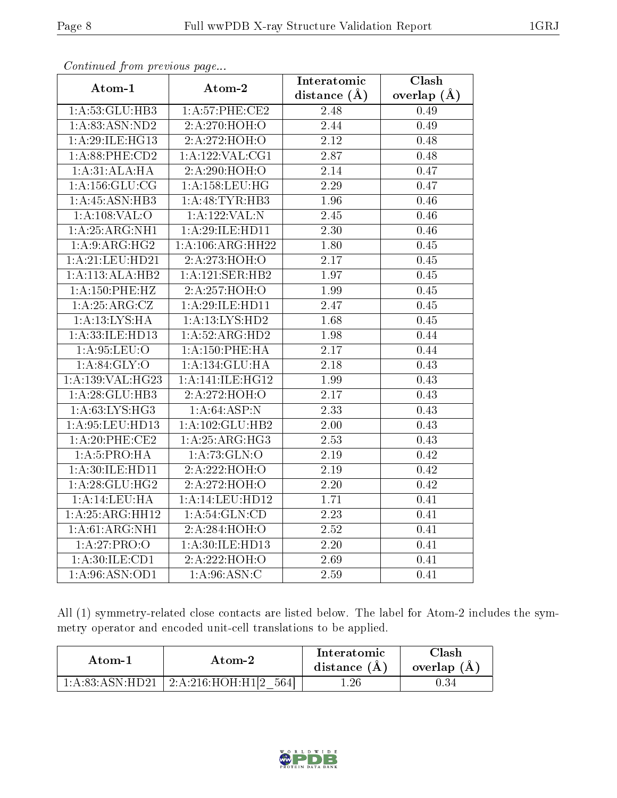| Atom-1                     | $F$ . The state $F$ is the set of $F$ and $F$ and $F$<br>Atom-2 | Interatomic       | Clash           |
|----------------------------|-----------------------------------------------------------------|-------------------|-----------------|
|                            |                                                                 | distance $(\AA)$  | overlap $(\AA)$ |
| 1:A:53:GLU:HB3             | 1:A:57:PHE:CE2                                                  | 2.48              | 0.49            |
| 1: A:83: ASN:ND2           | 2:A:270:HOH:O                                                   | 2.44              | 0.49            |
| 1:A:29:ILE:HG13            | 2:A:272:HOH:O                                                   | 2.12              | 0.48            |
| 1:A:88:PHE:CD2             | 1: A: 122: VAL: CG1                                             | 2.87              | 0.48            |
| 1:A:31:ALA:HA              | 2:A:290:HOH:O                                                   | 2.14              | 0.47            |
| 1: A: 156: GLU: CG         | 1: A: 158: LEU: HG                                              | 2.29              | 0.47            |
| 1:A:45:ASN:HB3             | 1: A: 48: TYR: HB3                                              | 1.96              | 0.46            |
| 1: A:108: VAL:O            | 1:A:122:VAL:N                                                   | 2.45              | 0.46            |
| 1:A:25:ARG:NH1             | 1:A:29:ILE:HD11                                                 | $\overline{2.30}$ | $0.46\,$        |
| 1:A:9:ARG:HG2              | 1:A:106:ARG:HH22                                                | $\overline{1.80}$ | 0.45            |
| 1: A:21: LEU:HD21          | 2:A:273:HOH:O                                                   | 2.17              | 0.45            |
| 1:A:113:ALA:HB2            | 1:A:121:SER:HB2                                                 | 1.97              | 0.45            |
| 1:A:150:PHE:HZ             | 2:A:257:HOH:O                                                   | 1.99              | 0.45            |
| $1:A:25:A\overline{RG:CZ}$ | 1:A:29:ILE:HD11                                                 | 2.47              | 0.45            |
| 1:A:13:LYS:HA              | 1:A:13:LYS:HD2                                                  | 1.68              | 0.45            |
| 1:A:33:ILE:HD13            | 1:A:52:ARG:HD2                                                  | 1.98              | 0.44            |
| 1: A:95: LEU:O             | 1: A: 150: PHE: HA                                              | 2.17              | 0.44            |
| 1: A:84:GLY:O              | 1:A:134:GLU:HA                                                  | 2.18              | 0.43            |
| 1:A:139:VAL:HG23           | 1:A:141:ILE:HG12                                                | 1.99              | 0.43            |
| 1:A:28:GLU:HB3             | 2:A:272:HOH:O                                                   | 2.17              | 0.43            |
| 1: A:63: LYS: HG3          | 1: A:64:ASP:N                                                   | 2.33              | 0.43            |
| 1: A:95:LEU:HD13           | 1:A:102:GLU:HB2                                                 | $2.00\,$          | 0.43            |
| 1:A:20:PHE:CE2             | 1:A:25:ARG:HG3                                                  | $\overline{2.53}$ | 0.43            |
| 1: A:5: PRO:HA             | 1:A:73:GLN:O                                                    | 2.19              | 0.42            |
| 1:A:30:ILE:HD11            | 2:A:222:HOH:O                                                   | 2.19              | 0.42            |
| 1: A:28: GLU:HG2           | 2:A:272:HOH:O                                                   | 2.20              | 0.42            |
| 1:A:14:LEU:H               | 1:A:14:LEU:HD12                                                 | 1.71              | 0.41            |
| 1:A:25:ARG:HH12            | 1: A:54: GLN:CD                                                 | $\overline{2.23}$ | 0.41            |
| 1:A:61:ARG:NH1             | 2:A:284:HOH:O                                                   | 2.52              | 0.41            |
| 1:A:27:PRO:O               | 1:A:30:ILE:HD13                                                 | 2.20              | 0.41            |
| 1:A:30:ILE:CD1             | 2:A:222:HOH:O                                                   | 2.69              | 0.41            |
| 1:A:96:ASN:OD1             | 1: A:96: ASN: C                                                 | 2.59              | 0.41            |

Continued from previous page...

All (1) symmetry-related close contacts are listed below. The label for Atom-2 includes the symmetry operator and encoded unit-cell translations to be applied.

| Atom-1             | Atom-2                                    | Interatomic<br>distance $(A)$ | $\gamma$ lash<br>overlap (A) |
|--------------------|-------------------------------------------|-------------------------------|------------------------------|
| 1: A:83: A SN:HD21 | $+2:$ A:216:HOH: $\overline{H1 2}$<br>564 | 1.26                          |                              |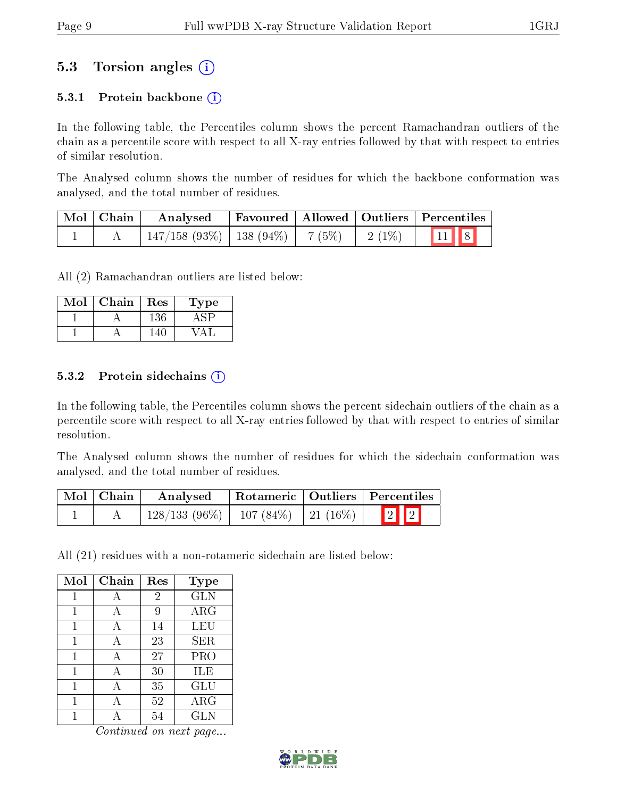## 5.3 Torsion angles (i)

#### 5.3.1 Protein backbone  $(i)$

In the following table, the Percentiles column shows the percent Ramachandran outliers of the chain as a percentile score with respect to all X-ray entries followed by that with respect to entries of similar resolution.

The Analysed column shows the number of residues for which the backbone conformation was analysed, and the total number of residues.

| Mol   Chain | Analysed                                |  |          | Favoured   Allowed   Outliers   Percentiles |
|-------------|-----------------------------------------|--|----------|---------------------------------------------|
|             | $147/158$ (93\%)   138 (94\%)   7 (5\%) |  | $2(1\%)$ | 11 8                                        |

All (2) Ramachandran outliers are listed below:

| Mol | Chain | Res | ype |
|-----|-------|-----|-----|
|     |       | .36 |     |
|     |       |     |     |

#### 5.3.2 Protein sidechains  $(i)$

In the following table, the Percentiles column shows the percent sidechain outliers of the chain as a percentile score with respect to all X-ray entries followed by that with respect to entries of similar resolution.

The Analysed column shows the number of residues for which the sidechain conformation was analysed, and the total number of residues.

| Mol   Chain | Analysed                                 |  | Rotameric   Outliers   Percentiles |
|-------------|------------------------------------------|--|------------------------------------|
|             | $128/133(96\%)$   107 (84\%)   21 (16\%) |  | $\boxed{2}$ $\boxed{2}$            |

All (21) residues with a non-rotameric sidechain are listed below:

| Mol | Chain | Res            | <b>Type</b> |
|-----|-------|----------------|-------------|
| 1   | А     | $\overline{2}$ | <b>GLN</b>  |
| 1   | А     | 9              | $\rm{ARG}$  |
| 1   | А     | 14             | LEU         |
| 1   | А     | 23             | SER         |
| 1   |       | 27             | PRO         |
| 1   | A     | 30             | ILE         |
| 1   | А     | 35             | GLU         |
|     |       | 52             | $\rm{ARG}$  |
|     |       | 54             | <b>GLN</b>  |

Continued on next page...

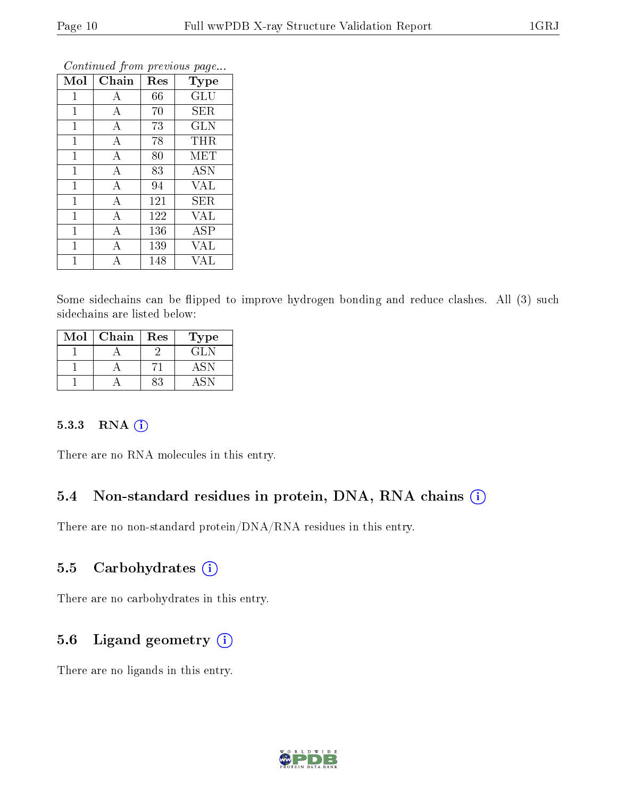|                |                  | ×.  |                      |
|----------------|------------------|-----|----------------------|
| Mol            | Chain            | Res | Type                 |
| $\mathbf{1}$   | А                | 66  | $\operatorname{GLU}$ |
| $\mathbf{1}$   | А                | 70  | <b>SER</b>           |
| 1              | $\boldsymbol{A}$ | 73  | <b>GLN</b>           |
| $\mathbf{1}$   | А                | 78  | THR                  |
| 1              | А                | 80  | MET                  |
| $\mathbf{1}$   | $\boldsymbol{A}$ | 83  | <b>ASN</b>           |
| $\mathbf 1$    | $\boldsymbol{A}$ | 94  | <b>VAL</b>           |
| $\overline{1}$ | А                | 121 | SER                  |
| $\mathbf{1}$   | А                | 122 | VAL                  |
| $\mathbf 1$    | А                | 136 | ASP                  |
| $\mathbf{1}$   | А                | 139 | VAL                  |
|                | А                | 148 | VAL                  |

Continued from previous page...

Some sidechains can be flipped to improve hydrogen bonding and reduce clashes. All (3) such sidechains are listed below:

| Mol | Chain | Res | ype    |
|-----|-------|-----|--------|
|     |       |     | 74 J.N |
|     |       |     |        |
|     |       |     |        |

#### 5.3.3 RNA [O](https://www.wwpdb.org/validation/2017/XrayValidationReportHelp#rna)i

There are no RNA molecules in this entry.

### 5.4 Non-standard residues in protein, DNA, RNA chains (i)

There are no non-standard protein/DNA/RNA residues in this entry.

#### 5.5 Carbohydrates  $(i)$

There are no carbohydrates in this entry.

### 5.6 Ligand geometry (i)

There are no ligands in this entry.

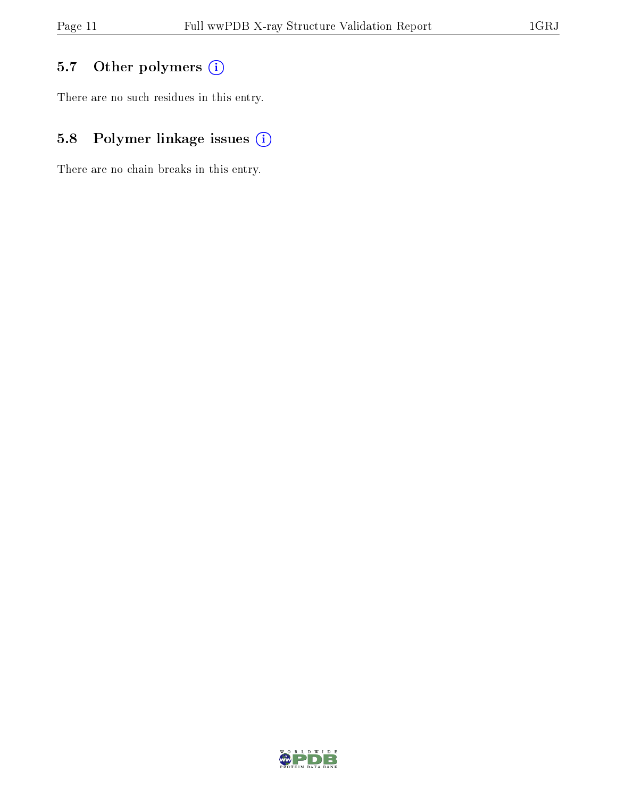# 5.7 [O](https://www.wwpdb.org/validation/2017/XrayValidationReportHelp#nonstandard_residues_and_ligands)ther polymers (i)

There are no such residues in this entry.

# 5.8 Polymer linkage issues (i)

There are no chain breaks in this entry.